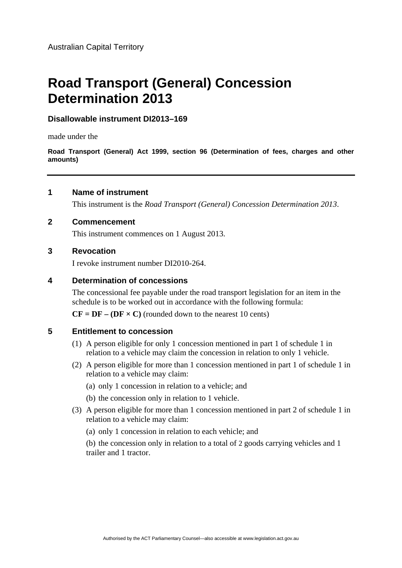# **Road Transport (General) Concession Determination 2013**

# **Disallowable instrument DI2013–169**

made under the

**Road Transport (General) Act 1999, section 96 (Determination of fees, charges and other amounts)**

# **1 Name of instrument**

This instrument is the *Road Transport (General) Concession Determination 2013*.

### **2 Commencement**

This instrument commences on 1 August 2013.

# **3 Revocation**

I revoke instrument number DI2010-264.

### **4 Determination of concessions**

The concessional fee payable under the road transport legislation for an item in the schedule is to be worked out in accordance with the following formula:

 $CF = DF - (DF \times C)$  (rounded down to the nearest 10 cents)

# **5 Entitlement to concession**

- (1) A person eligible for only 1 concession mentioned in part 1 of schedule 1 in relation to a vehicle may claim the concession in relation to only 1 vehicle.
- (2) A person eligible for more than 1 concession mentioned in part 1 of schedule 1 in relation to a vehicle may claim:
	- (a) only 1 concession in relation to a vehicle; and
	- (b) the concession only in relation to 1 vehicle.
- (3) A person eligible for more than 1 concession mentioned in part 2 of schedule 1 in relation to a vehicle may claim:
	- (a) only 1 concession in relation to each vehicle; and

 (b) the concession only in relation to a total of 2 goods carrying vehicles and 1 trailer and 1 tractor.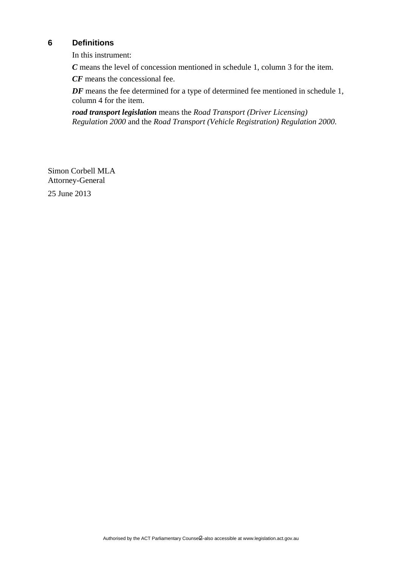# **6 Definitions**

In this instrument:

*C* means the level of concession mentioned in schedule 1, column 3 for the item.

*CF* means the concessional fee.

*DF* means the fee determined for a type of determined fee mentioned in schedule 1, column 4 for the item.

*road transport legislation* means the *Road Transport (Driver Licensing) Regulation 2000* and the *Road Transport (Vehicle Registration) Regulation 2000*.

Simon Corbell MLA Attorney-General 25 June 2013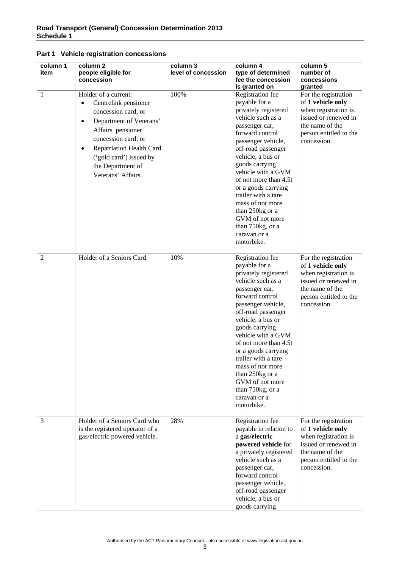| column 1<br>item | column <sub>2</sub><br>people eligible for<br>concession                                                                                                                                                                                                                                   | column 3<br>level of concession | column 4<br>type of determined<br>fee the concession<br>is granted on                                                                                                                                                                                                                                                                                                                                           | column 5<br>number of<br>concessions<br>granted                                                                                                       |
|------------------|--------------------------------------------------------------------------------------------------------------------------------------------------------------------------------------------------------------------------------------------------------------------------------------------|---------------------------------|-----------------------------------------------------------------------------------------------------------------------------------------------------------------------------------------------------------------------------------------------------------------------------------------------------------------------------------------------------------------------------------------------------------------|-------------------------------------------------------------------------------------------------------------------------------------------------------|
| 1                | Holder of a current:<br>Centrelink pensioner<br>$\bullet$<br>concession card; or<br>Department of Veterans'<br>$\bullet$<br>Affairs pensioner<br>concession card; or<br><b>Repatriation Health Card</b><br>$\bullet$<br>('gold card') issued by<br>the Department of<br>Veterans' Affairs. | 100%                            | Registration fee<br>payable for a<br>privately registered<br>vehicle such as a<br>passenger car,<br>forward control<br>passenger vehicle,<br>off-road passenger<br>vehicle, a bus or<br>goods carrying<br>vehicle with a GVM<br>of not more than 4.5t<br>or a goods carrying<br>trailer with a tare<br>mass of not more<br>than 250kg or a<br>GVM of not more<br>than 750kg, or a<br>caravan or a<br>motorbike. | For the registration<br>of 1 vehicle only<br>when registration is<br>issued or renewed in<br>the name of the<br>person entitled to the<br>concession. |
| 2                | Holder of a Seniors Card.                                                                                                                                                                                                                                                                  | 10%                             | Registration fee<br>payable for a<br>privately registered<br>vehicle such as a<br>passenger car,<br>forward control<br>passenger vehicle,<br>off-road passenger<br>vehicle, a bus or<br>goods carrying<br>vehicle with a GVM<br>of not more than 4.5t<br>or a goods carrying<br>trailer with a tare<br>mass of not more<br>than 250kg or a<br>GVM of not more<br>than 750kg, or a<br>caravan or a<br>motorbike. | For the registration<br>of 1 vehicle only<br>when registration is<br>issued or renewed in<br>the name of the<br>person entitled to the<br>concession. |
| 3                | Holder of a Seniors Card who<br>is the registered operator of a<br>gas/electric powered vehicle.                                                                                                                                                                                           | 28%                             | Registration fee<br>payable in relation to<br>a gas/electric<br>powered vehicle for<br>a privately registered<br>vehicle such as a<br>passenger car,<br>forward control<br>passenger vehicle,<br>off-road passenger<br>vehicle, a bus or<br>goods carrying                                                                                                                                                      | For the registration<br>of 1 vehicle only<br>when registration is<br>issued or renewed in<br>the name of the<br>person entitled to the<br>concession. |

### **Part 1 Vehicle registration concessions**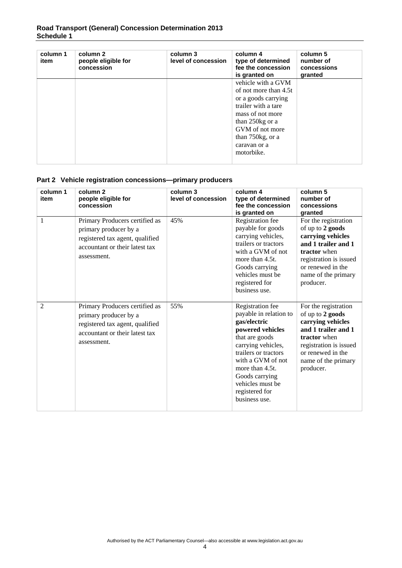### **Road Transport (General) Concession Determination 2013 Schedule 1**

| column 1<br>item | column 2<br>people eligible for<br>concession | column 3<br>level of concession | column 4<br>type of determined<br>fee the concession<br>is granted on                                                                                                                                 | column 5<br>number of<br>concessions<br>granted |
|------------------|-----------------------------------------------|---------------------------------|-------------------------------------------------------------------------------------------------------------------------------------------------------------------------------------------------------|-------------------------------------------------|
|                  |                                               |                                 | vehicle with a GVM<br>of not more than 4.5t<br>or a goods carrying<br>trailer with a tare<br>mass of not more<br>than 250kg or a<br>GVM of not more<br>than 750kg, or a<br>caravan or a<br>motorbike. |                                                 |

### **Part 2 Vehicle registration concessions—primary producers**

| column 1<br>item | column <sub>2</sub><br>people eligible for<br>concession                                                                                    | column 3<br>level of concession | column 4<br>type of determined<br>fee the concession<br>is granted on                                                                                                                                                                                           | column 5<br>number of<br>concessions<br>granted                                                                                                                                         |
|------------------|---------------------------------------------------------------------------------------------------------------------------------------------|---------------------------------|-----------------------------------------------------------------------------------------------------------------------------------------------------------------------------------------------------------------------------------------------------------------|-----------------------------------------------------------------------------------------------------------------------------------------------------------------------------------------|
| 1                | Primary Producers certified as<br>primary producer by a<br>registered tax agent, qualified<br>accountant or their latest tax<br>assessment. | 45%                             | Registration fee<br>payable for goods<br>carrying vehicles,<br>trailers or tractors<br>with a GVM of not<br>more than 4.5t.<br>Goods carrying<br>vehicles must be<br>registered for<br>business use.                                                            | For the registration<br>of up to 2 goods<br>carrying vehicles<br>and 1 trailer and 1<br>tractor when<br>registration is issued<br>or renewed in the<br>name of the primary<br>producer. |
| $\mathfrak{D}$   | Primary Producers certified as<br>primary producer by a<br>registered tax agent, qualified<br>accountant or their latest tax<br>assessment. | 55%                             | Registration fee<br>payable in relation to<br>gas/electric<br>powered vehicles<br>that are goods<br>carrying vehicles,<br>trailers or tractors<br>with a GVM of not<br>more than 4.5t.<br>Goods carrying<br>vehicles must be<br>registered for<br>business use. | For the registration<br>of up to 2 goods<br>carrying vehicles<br>and 1 trailer and 1<br>tractor when<br>registration is issued<br>or renewed in the<br>name of the primary<br>producer. |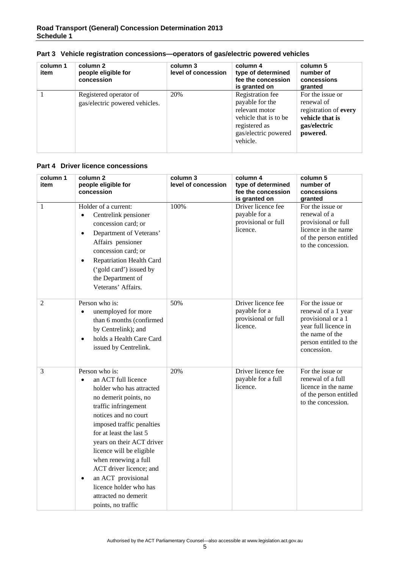| column 1<br>item | column 2<br>people eligible for<br>concession            | column 3<br>level of concession | column 4<br>type of determined<br>fee the concession<br>is granted on                                                               | column 5<br>number of<br>concessions<br>granted                                                        |
|------------------|----------------------------------------------------------|---------------------------------|-------------------------------------------------------------------------------------------------------------------------------------|--------------------------------------------------------------------------------------------------------|
|                  | Registered operator of<br>gas/electric powered vehicles. | 20%                             | Registration fee<br>payable for the<br>relevant motor<br>vehicle that is to be<br>registered as<br>gas/electric powered<br>vehicle. | For the issue or<br>renewal of<br>registration of every<br>vehicle that is<br>gas/electric<br>powered. |

### **Part 3 Vehicle registration concessions—operators of gas/electric powered vehicles**

### **Part 4 Driver licence concessions**

| column 1<br>item | column 2<br>people eligible for<br>concession                                                                                                                                                                                                                                                                                                                                                                                          | column 3<br>level of concession | column 4<br>type of determined<br>fee the concession<br>is granted on  | column 5<br>number of<br>concessions<br>granted                                                                                                   |
|------------------|----------------------------------------------------------------------------------------------------------------------------------------------------------------------------------------------------------------------------------------------------------------------------------------------------------------------------------------------------------------------------------------------------------------------------------------|---------------------------------|------------------------------------------------------------------------|---------------------------------------------------------------------------------------------------------------------------------------------------|
| $\mathbf{1}$     | Holder of a current:<br>Centrelink pensioner<br>$\bullet$<br>concession card; or<br>Department of Veterans'<br>$\bullet$<br>Affairs pensioner<br>concession card; or<br><b>Repatriation Health Card</b><br>$\bullet$<br>('gold card') issued by<br>the Department of<br>Veterans' Affairs.                                                                                                                                             | 100%                            | Driver licence fee<br>payable for a<br>provisional or full<br>licence. | For the issue or<br>renewal of a<br>provisional or full<br>licence in the name<br>of the person entitled<br>to the concession.                    |
| $\overline{2}$   | Person who is:<br>unemployed for more<br>than 6 months (confirmed<br>by Centrelink); and<br>holds a Health Care Card<br>$\bullet$<br>issued by Centrelink.                                                                                                                                                                                                                                                                             | 50%                             | Driver licence fee<br>payable for a<br>provisional or full<br>licence. | For the issue or<br>renewal of a 1 year<br>provisional or a 1<br>year full licence in<br>the name of the<br>person entitled to the<br>concession. |
| 3                | Person who is:<br>an ACT full licence<br>$\bullet$<br>holder who has attracted<br>no demerit points, no<br>traffic infringement<br>notices and no court<br>imposed traffic penalties<br>for at least the last 5<br>years on their ACT driver<br>licence will be eligible<br>when renewing a full<br>ACT driver licence; and<br>an ACT provisional<br>$\bullet$<br>licence holder who has<br>attracted no demerit<br>points, no traffic | 20%                             | Driver licence fee<br>payable for a full<br>licence.                   | For the issue or<br>renewal of a full<br>licence in the name<br>of the person entitled<br>to the concession.                                      |